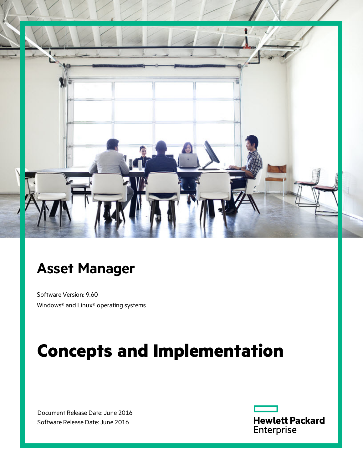

## **Asset Manager**

Software Version: 9.60 Windows® and Linux® operating systems

# **Concepts and Implementation**

Document Release Date: June 2016 Software Release Date: June 2016

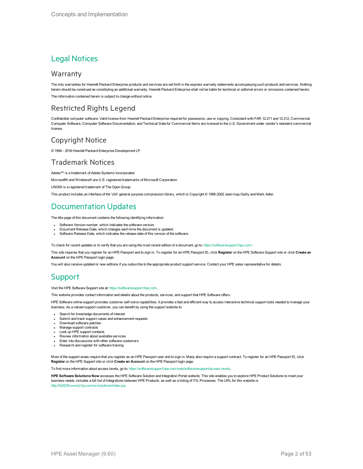### Legal Notices

#### **Warranty**

The only warranties for Hewlett Packard Enterprise products and services are set forth in the express warranty statements accompanying such products and services. Nothing herein should be construed as constituting an additional warranty. Hewlett Packard Enterprise shall not be liable for technical or editorial errors or omissions contained herein. The information contained herein is subject to change without notice.

### Restricted Rights Legend

Confidential computer software. Valid license from Hewlett Packard Enterprise required for possession, use or copying. Consistent with FAR 12.211 and 12.212, Commercial Computer Software, Computer Software Documentation, and Technical Data for Commercial Items are licensed to the U.S. Government under vendor's standard commercial license.

### Copyright Notice

© 1994 - 2016 Hewlett Packard Enterprise Development LP

### Trademark Notices

Adobe™ is a trademark of Adobe Systems Incorporated.

Microsoft® and Windows® are U.S. registered trademarks of Microsoft Corporation.

UNIX® is a registered trademark of The Open Group.

This product includes an interface of the 'zlib' general purpose compression library, which is Copyright © 1995-2002 Jean-loup Gailly and Mark Adler.

### Documentation Updates

The title page of this document contains the following identifying information:

- Software Version number, which indicates the software version.
- Document Release Date, which changes each time the document is updated.
- Software Release Date, which indicates the release date of this version of the software.

To check for recent updates or to verify that you are using the most recent edition of a document, go to: <https://softwaresupport.hpe.com/>.

This site requires that you register for an HPE Passport and to sign in. To register for an HPE Passport ID, click **Register** on the HPE Software Support site or click **Create an Account** on the HPE Passport login page.

You will also receive updated or new editions if you subscribe to the appropriate product support service. Contact your HPE sales representative for details.

### **Support**

Visit the HPE Software Support site at: [https://softwaresupport.hpe.com.](https://softwaresupport.hpe.com/)

This website provides contact information and details about the products, services, and support that HPE Software offers.

HPE Software online support provides customer self-solve capabilities. It provides a fast and efficient way to access interactive technical support tools needed to manage your business. As a valued support customer, you can benefit by using the support website to:

- Search for knowledge documents of interest
- Submit and track support cases and enhancement requests
- Download software patches
- Manage support contracts
- Look up HPE support contacts
- Review information about available services Enter into discussions with other software customers
- Research and register for software training
- 

Most of the support areas require that you register as an HPE Passport user and to sign in. Many also require a support contract. To register for an HPE Passport ID, click **Register** on the HPE Support site or click **Create an Account** on the HPE Passport login page.

To find more information about access levels, go to: <https://softwaresupport.hpe.com/web/softwaresupport/access-levels>.

**HPE Software Solutions Now** accesses the HPE Software Solution and Integration Portal website. This site enables you to explore HPE Product Solutions to meet your business needs, includes a full list of Integrations between HPE Products, as well as a listing of ITIL Processes. The URL for this website is [http://h20230.www2.hp.com/sc/solutions/index.jsp.](http://h20230.www2.hp.com/sc/solutions/index.jsp)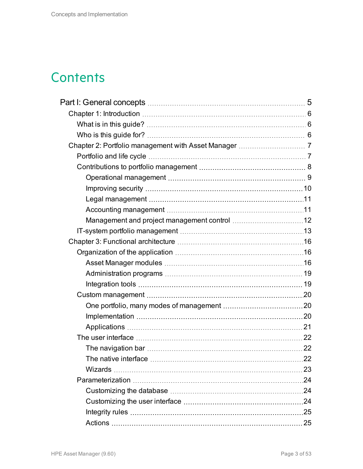## **Contents**

| 23 |
|----|
|    |
|    |
|    |
|    |
|    |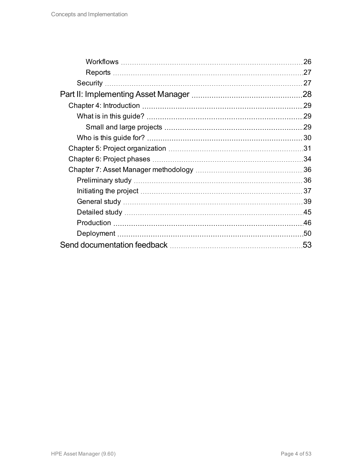| 26  |
|-----|
| .27 |
| 27  |
| 28  |
| .29 |
| .29 |
| .29 |
| 30  |
|     |
|     |
|     |
|     |
|     |
| 39  |
|     |
| .46 |
|     |
| .53 |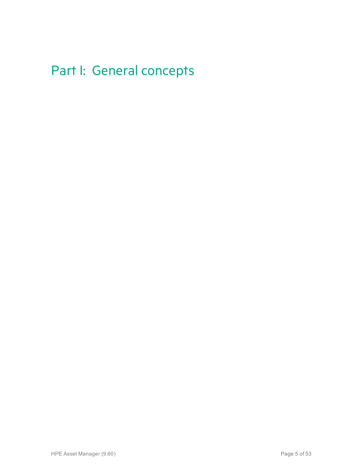## <span id="page-4-0"></span>Part I: General concepts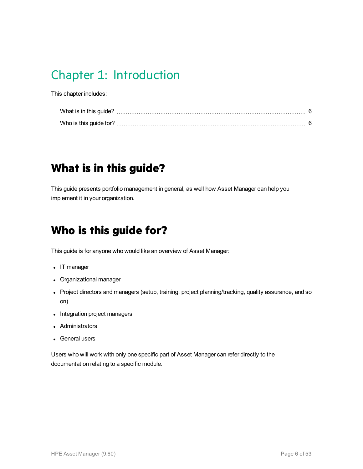## <span id="page-5-0"></span>Chapter 1: Introduction

This chapter includes:

## <span id="page-5-1"></span>**What is in this guide?**

<span id="page-5-2"></span>This guide presents portfolio management in general, as well how Asset Manager can help you implement it in your organization.

## **Who is this guide for?**

This guide is for anyone who would like an overview of Asset Manager:

- IT manager
- Organizational manager
- Project directors and managers (setup, training, project planning/tracking, quality assurance, and so on).
- Integration project managers
- Administrators
- General users

Users who will work with only one specific part of Asset Manager can refer directly to the documentation relating to a specific module.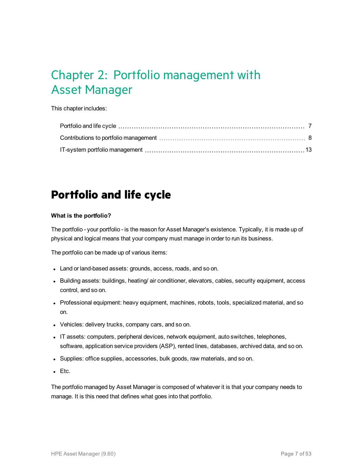## <span id="page-6-0"></span>Chapter 2: Portfolio management with Asset Manager

This chapter includes:

## <span id="page-6-1"></span>**Portfolio and life cycle**

#### **What is the portfolio?**

The portfolio - your portfolio - is the reason for Asset Manager's existence. Typically, it is made up of physical and logical means that your company must manage in order to run its business.

The portfolio can be made up of various items:

- Land or land-based assets: grounds, access, roads, and so on.
- Building assets: buildings, heating/ air conditioner, elevators, cables, security equipment, access control, and so on.
- Professional equipment: heavy equipment, machines, robots, tools, specialized material, and so on.
- Vehicles: delivery trucks, company cars, and so on.
- IT assets: computers, peripheral devices, network equipment, auto switches, telephones, software, application service providers (ASP), rented lines, databases, archived data, and so on.
- Supplies: office supplies, accessories, bulk goods, raw materials, and so on.
- $\cdot$  Etc.

The portfolio managed by Asset Manager is composed of whatever it is that your company needs to manage. It is this need that defines what goes into that portfolio.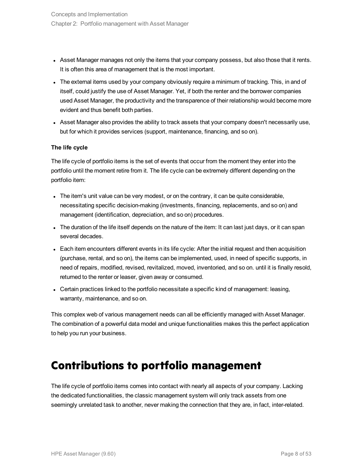- Asset Manager manages not only the items that your company possess, but also those that it rents. It is often this area of management that is the most important.
- The external items used by your company obviously require a minimum of tracking. This, in and of itself, could justify the use of Asset Manager. Yet, if both the renter and the borrower companies used Asset Manager, the productivity and the transparence of their relationship would become more evident and thus benefit both parties.
- Asset Manager also provides the ability to track assets that your company doesn't necessarily use, but for which it provides services (support, maintenance, financing, and so on).

#### **The life cycle**

The life cycle of portfolio items is the set of events that occur from the moment they enter into the portfolio until the moment retire from it. The life cycle can be extremely different depending on the portfolio item:

- $\bullet$  The item's unit value can be very modest, or on the contrary, it can be quite considerable, necessitating specific decision-making (investments, financing, replacements, and so on) and management (identification, depreciation, and so on) procedures.
- The duration of the life itself depends on the nature of the item: It can last just days, or it can span several decades.
- Each item encounters different events in its life cycle: After the initial request and then acquisition (purchase, rental, and so on), the items can be implemented, used, in need of specific supports, in need of repairs, modified, revised, revitalized, moved, inventoried, and so on. until it is finally resold, returned to the renter or leaser, given away or consumed.
- Certain practices linked to the portfolio necessitate a specific kind of management: leasing, warranty, maintenance, and so on.

This complex web of various management needs can all be efficiently managed with Asset Manager. The combination of a powerful data model and unique functionalities makes this the perfect application to help you run your business.

### <span id="page-7-0"></span>**Contributions to portfolio management**

The life cycle of portfolio items comes into contact with nearly all aspects of your company. Lacking the dedicated functionalities, the classic management system will only track assets from one seemingly unrelated task to another, never making the connection that they are, in fact, inter-related.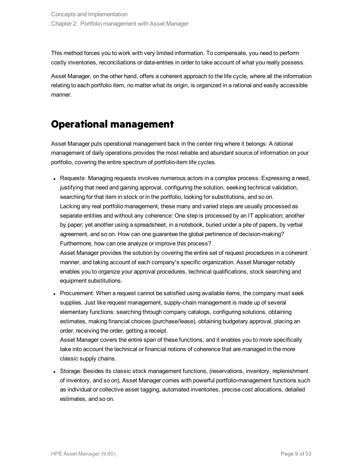This method forces you to work with very limited information. To compensate, you need to perform costly inventories, reconciliations or data-entries in order to take account of what you really possess.

Asset Manager, on the other hand, offers a coherent approach to the life cycle, where all the information relating to each portfolio item, no matter what its origin, is organized in a rational and easily accessible manner.

## <span id="page-8-0"></span>**Operational management**

Asset Manager puts operational management back in the center ring where it belongs: A rational management of daily operations provides the most reliable and abundant source of information on your portfolio, covering the entire spectrum of portfolio-item life cycles.

• Requests: Managing requests involves numerous actors in a complex process: Expressing a need, justifying that need and gaining approval, configuring the solution, seeking technical validation, searching for that item in stock or in the portfolio, looking for substitutions, and so on. Lacking any real portfolio management, these many and varied steps are usually processed as separate entities and without any coherence: One step is processed by an IT application; another by paper; yet another using a spreadsheet, in a notebook, buried under a pile of papers, by verbal agreement, and so on. How can one guarantee the global pertinence of decision-making? Furthermore, how can one analyze or improve this process? Asset Manager provides the solution by covering the entire set of request procedures in a coherent manner, and taking account of each company's specific organization. Asset Manager notably

enables you to organize your approval procedures, technical qualifications, stock searching and equipment substitutions.

• Procurement: When a request cannot be satisfied using available items, the company must seek supplies. Just like request management, supply-chain management is made up of several elementary functions: searching through company catalogs, configuring solutions, obtaining estimates, making financial choices (purchase/lease), obtaining budgetary approval, placing an order, receiving the order, getting a receipt.

Asset Manager covers the entire span of these functions, and it enables you to more specifically take into account the technical or financial notions of coherence that are managed in the more classic supply chains.

• Storage: Besides its classic stock management functions, (reservations, inventory, replenishment of inventory, and so on), Asset Manager comes with powerful portfolio-management functions such as individual or collective asset tagging, automated inventories, precise cost allocations, detailed estimates, and so on.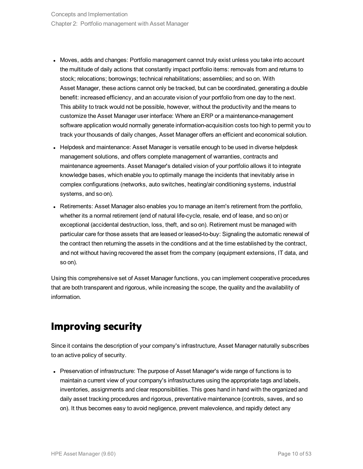- Moves, adds and changes: Portfolio management cannot truly exist unless you take into account the multitude of daily actions that constantly impact portfolio items: removals from and returns to stock; relocations; borrowings; technical rehabilitations; assemblies; and so on. With Asset Manager, these actions cannot only be tracked, but can be coordinated, generating a double benefit: increased efficiency, and an accurate vision of your portfolio from one day to the next. This ability to track would not be possible, however, without the productivity and the means to customize the Asset Manager user interface: Where an ERP or a maintenance-management software application would normally generate information-acquisition costs too high to permit you to track your thousands of daily changes, Asset Manager offers an efficient and economical solution.
- Helpdesk and maintenance: Asset Manager is versatile enough to be used in diverse helpdesk management solutions, and offers complete management of warranties, contracts and maintenance agreements. Asset Manager's detailed vision of your portfolio allows it to integrate knowledge bases, which enable you to optimally manage the incidents that inevitably arise in complex configurations (networks, auto switches, heating/air conditioning systems, industrial systems, and so on).
- Retirements: Asset Manager also enables you to manage an item's retirement from the portfolio, whether its a normal retirement (end of natural life-cycle, resale, end of lease, and so on) or exceptional (accidental destruction, loss, theft, and so on). Retirement must be managed with particular care for those assets that are leased or leased-to-buy: Signaling the automatic renewal of the contract then returning the assets in the conditions and at the time established by the contract, and not without having recovered the asset from the company (equipment extensions, IT data, and so on).

Using this comprehensive set of Asset Manager functions, you can implement cooperative procedures that are both transparent and rigorous, while increasing the scope, the quality and the availability of information.

## <span id="page-9-0"></span>**Improving security**

Since it contains the description of your company's infrastructure, Asset Manager naturally subscribes to an active policy of security.

• Preservation of infrastructure: The purpose of Asset Manager's wide range of functions is to maintain a current view of your company's infrastructures using the appropriate tags and labels, inventories, assignments and clear responsibilities. This goes hand in hand with the organized and daily asset tracking procedures and rigorous, preventative maintenance (controls, saves, and so on). It thus becomes easy to avoid negligence, prevent malevolence, and rapidly detect any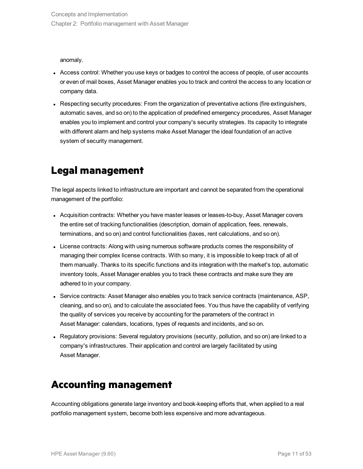anomaly.

- Access control: Whether you use keys or badges to control the access of people, of user accounts or even of mail boxes, Asset Manager enables you to track and control the access to any location or company data.
- Respecting security procedures: From the organization of preventative actions (fire extinguishers, automatic saves, and so on) to the application of predefined emergency procedures, Asset Manager enables you to implement and control your company's security strategies. Its capacity to integrate with different alarm and help systems make Asset Manager the ideal foundation of an active system of security management.

## <span id="page-10-0"></span>**Legal management**

The legal aspects linked to infrastructure are important and cannot be separated from the operational management of the portfolio:

- Acquisition contracts: Whether you have master leases or leases-to-buy, Asset Manager covers the entire set of tracking functionalities (description, domain of application, fees, renewals, terminations, and so on) and control functionalities (taxes, rent calculations, and so on).
- License contracts: Along with using numerous software products comes the responsibility of managing their complex license contracts. With so many, it is impossible to keep track of all of them manually. Thanks to its specific functions and its integration with the market's top, automatic inventory tools, Asset Manager enables you to track these contracts and make sure they are adhered to in your company.
- Service contracts: Asset Manager also enables you to track service contracts (maintenance, ASP, cleaning, and so on), and to calculate the associated fees. You thus have the capability of verifying the quality of services you receive by accounting for the parameters of the contract in Asset Manager: calendars, locations, types of requests and incidents, and so on.
- Regulatory provisions: Several regulatory provisions (security, pollution, and so on) are linked to a company's infrastructures. Their application and control are largely facilitated by using Asset Manager.

### <span id="page-10-1"></span>**Accounting management**

Accounting obligations generate large inventory and book-keeping efforts that, when applied to a real portfolio management system, become both less expensive and more advantageous.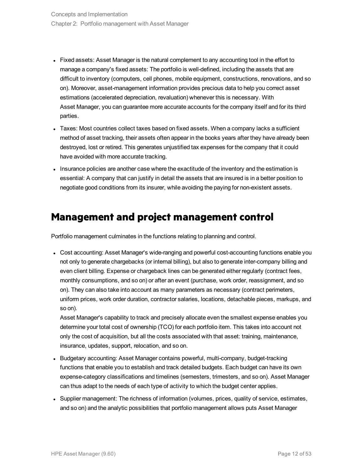- Fixed assets: Asset Manager is the natural complement to any accounting tool in the effort to manage a company's fixed assets: The portfolio is well-defined, including the assets that are difficult to inventory (computers, cell phones, mobile equipment, constructions, renovations, and so on). Moreover, asset-management information provides precious data to help you correct asset estimations (accelerated depreciation, revaluation) whenever this is necessary. With Asset Manager, you can guarantee more accurate accounts for the company itself and for its third parties.
- Taxes: Most countries collect taxes based on fixed assets. When a company lacks a sufficient method of asset tracking, their assets often appear in the books years after they have already been destroyed, lost or retired. This generates unjustified tax expenses for the company that it could have avoided with more accurate tracking.
- Insurance policies are another case where the exactitude of the inventory and the estimation is essential: A company that can justify in detail the assets that are insured is in a better position to negotiate good conditions from its insurer, while avoiding the paying for non-existent assets.

### <span id="page-11-0"></span>**Management and project management control**

Portfolio management culminates in the functions relating to planning and control.

• Cost accounting: Asset Manager's wide-ranging and powerful cost-accounting functions enable you not only to generate chargebacks (or internal billing), but also to generate inter-company billing and even client billing. Expense or chargeback lines can be generated either regularly (contract fees, monthly consumptions, and so on) or after an event (purchase, work order, reassignment, and so on). They can also take into account as many parameters as necessary (contract perimeters, uniform prices, work order duration, contractor salaries, locations, detachable pieces, markups, and so on).

Asset Manager's capability to track and precisely allocate even the smallest expense enables you determine your total cost of ownership (TCO) for each portfolio item. This takes into account not only the cost of acquisition, but all the costs associated with that asset: training, maintenance, insurance, updates, support, relocation, and so on.

- Budgetary accounting: Asset Manager contains powerful, multi-company, budget-tracking functions that enable you to establish and track detailed budgets. Each budget can have its own expense-category classifications and timelines (semesters, trimesters, and so on). Asset Manager can thus adapt to the needs of each type of activity to which the budget center applies.
- Supplier management: The richness of information (volumes, prices, quality of service, estimates, and so on) and the analytic possibilities that portfolio management allows puts Asset Manager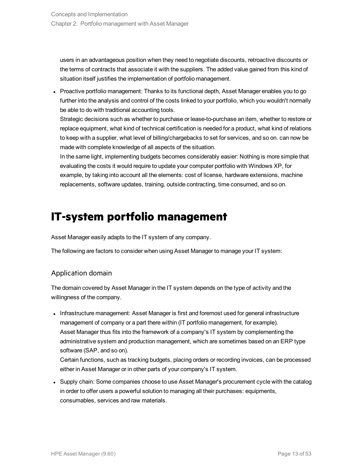users in an advantageous position when they need to negotiate discounts, retroactive discounts or the terms of contracts that associate it with the suppliers. The added value gained from this kind of situation itself justifies the implementation of portfolio management.

• Proactive portfolio management: Thanks to its functional depth, Asset Manager enables you to go further into the analysis and control of the costs linked to your portfolio, which you wouldn't normally be able to do with traditional accounting tools.

Strategic decisions such as whether to purchase or lease-to-purchase an item, whether to restore or replace equipment, what kind of technical certification is needed for a product, what kind of relations to keep with a supplier, what level of billing/chargebacks to set for services, and so on. can now be made with complete knowledge of all aspects of the situation.

In the same light, implementing budgets becomes considerably easier: Nothing is more simple that evaluating the costs it would require to update your computer portfolio with Windows XP, for example, by taking into account all the elements: cost of license, hardware extensions, machine replacements, software updates, training, outside contracting, time consumed, and so on.

## <span id="page-12-0"></span>**IT-system portfolio management**

Asset Manager easily adapts to the IT system of any company.

The following are factors to consider when using Asset Manager to manage your IT system:

### Application domain

The domain covered by Asset Manager in the IT system depends on the type of activity and the willingness of the company.

• Infrastructure management: Asset Manager is first and foremost used for general infrastructure management of company or a part there within (IT portfolio management, for example). Asset Manager thus fits into the framework of a company's IT system by complementing the administrative system and production management, which are sometimes based on an ERP type software (SAP, and so on).

Certain functions, such as tracking budgets, placing orders or recording invoices, can be processed either in Asset Manager or in other parts of your company's IT system.

• Supply chain: Some companies choose to use Asset Manager's procurement cycle with the catalog in order to offer users a powerful solution to managing all their purchases: equipments, consumables, services and raw materials.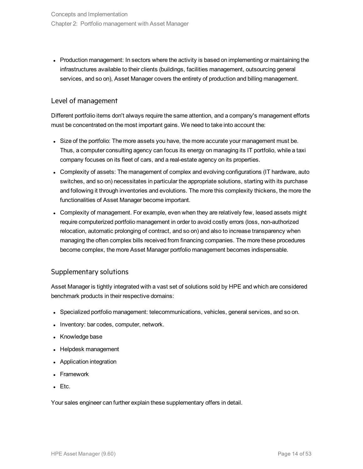• Production management: In sectors where the activity is based on implementing or maintaining the infrastructures available to their clients (buildings, facilities management, outsourcing general services, and so on), Asset Manager covers the entirety of production and billing management.

### Level of management

Different portfolio items don't always require the same attention, and a company's management efforts must be concentrated on the most important gains. We need to take into account the:

- Size of the portfolio: The more assets you have, the more accurate your management must be. Thus, a computer consulting agency can focus its energy on managing its IT portfolio, while a taxi company focuses on its fleet of cars, and a real-estate agency on its properties.
- Complexity of assets: The management of complex and evolving configurations (IT hardware, auto switches, and so on) necessitates in particular the appropriate solutions, starting with its purchase and following it through inventories and evolutions. The more this complexity thickens, the more the functionalities of Asset Manager become important.
- Complexity of management. For example, even when they are relatively few, leased assets might require computerized portfolio management in order to avoid costly errors (loss, non-authorized relocation, automatic prolonging of contract, and so on) and also to increase transparency when managing the often complex bills received from financing companies. The more these procedures become complex, the more Asset Manager portfolio management becomes indispensable.

### Supplementary solutions

Asset Manager is tightly integrated with a vast set of solutions sold by HPE and which are considered benchmark products in their respective domains:

- Specialized portfolio management: telecommunications, vehicles, general services, and so on.
- Inventory: bar codes, computer, network.
- Knowledge base
- Helpdesk management
- Application integration
- Framework
- $\bullet$  Etc.

Your sales engineer can further explain these supplementary offers in detail.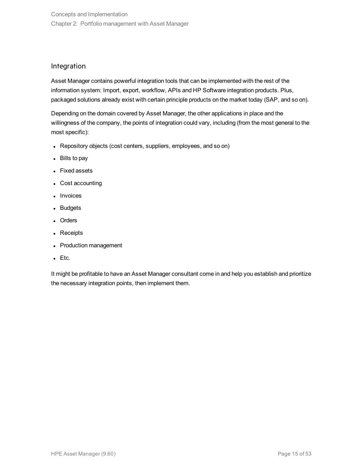### Integration

Asset Manager contains powerful integration tools that can be implemented with the rest of the information system: Import, export, workflow, APIs and HP Software integration products. Plus, packaged solutions already exist with certain principle products on the market today (SAP, and so on).

Depending on the domain covered by Asset Manager, the other applications in place and the willingness of the company, the points of integration could vary, including (from the most general to the most specific):

- Repository objects (cost centers, suppliers, employees, and so on)
- $\bullet$  Bills to pay
- Fixed assets
- Cost accounting
- Invoices
- Budgets
- Orders
- Receipts
- Production management
- $\bullet$  Etc.

It might be profitable to have an Asset Manager consultant come in and help you establish and prioritize the necessary integration points, then implement them.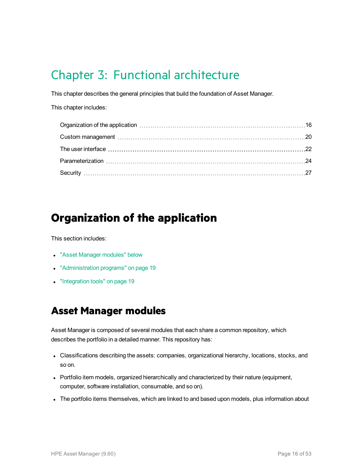## <span id="page-15-0"></span>Chapter 3: Functional architecture

This chapter describes the general principles that build the foundation of Asset Manager.

This chapter includes:

## <span id="page-15-1"></span>**Organization of the application**

This section includes:

- ["Asset Manager](#page-15-2) modules" below
- ["Administration](#page-18-0) programs" on page 19
- <span id="page-15-2"></span>• ["Integration](#page-18-1) tools" on page 19

### **Asset Manager modules**

Asset Manager is composed of several modules that each share a common repository, which describes the portfolio in a detailed manner. This repository has:

- Classifications describing the assets: companies, organizational hierarchy, locations, stocks, and so on.
- Portfolio item models, organized hierarchically and characterized by their nature (equipment, computer, software installation, consumable, and so on).
- The portfolio items themselves, which are linked to and based upon models, plus information about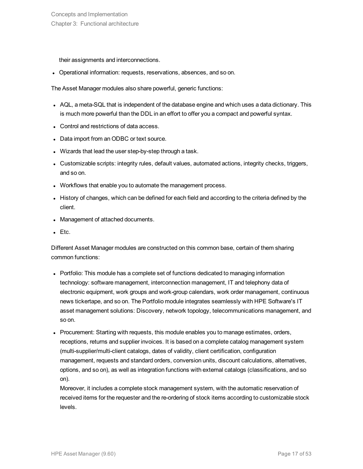their assignments and interconnections.

• Operational information: requests, reservations, absences, and so on.

The Asset Manager modules also share powerful, generic functions:

- AQL, a meta-SQL that is independent of the database engine and which uses a data dictionary. This is much more powerful than the DDL in an effort to offer you a compact and powerful syntax.
- Control and restrictions of data access.
- Data import from an ODBC or text source.
- Wizards that lead the user step-by-step through a task.
- Customizable scripts: integrity rules, default values, automated actions, integrity checks, triggers, and so on.
- Workflows that enable you to automate the management process.
- I History of changes, which can be defined for each field and according to the criteria defined by the client.
- Management of attached documents.
- $\bullet$  Etc.

Different Asset Manager modules are constructed on this common base, certain of them sharing common functions:

- Portfolio: This module has a complete set of functions dedicated to managing information technology: software management, interconnection management, IT and telephony data of electronic equipment, work groups and work-group calendars, work order management, continuous news tickertape, and so on. The Portfolio module integrates seamlessly with HPE Software's IT asset management solutions: Discovery, network topology, telecommunications management, and so on.
- Procurement: Starting with requests, this module enables you to manage estimates, orders, receptions, returns and supplier invoices. It is based on a complete catalog management system (multi-supplier/multi-client catalogs, dates of validity, client certification, configuration management, requests and standard orders, conversion units, discount calculations, alternatives, options, and so on), as well as integration functions with external catalogs (classifications, and so on).

Moreover, it includes a complete stock management system, with the automatic reservation of received items for the requester and the re-ordering of stock items according to customizable stock levels.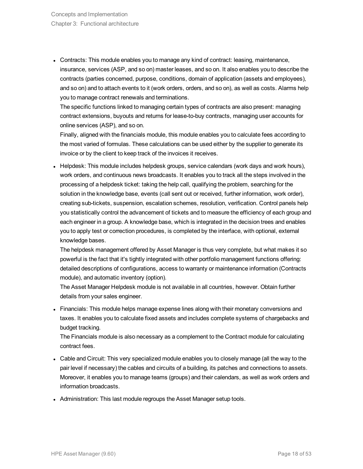• Contracts: This module enables you to manage any kind of contract: leasing, maintenance, insurance, services (ASP, and so on) master leases, and so on. It also enables you to describe the contracts (parties concerned, purpose, conditions, domain of application (assets and employees), and so on) and to attach events to it (work orders, orders, and so on), as well as costs. Alarms help you to manage contract renewals and terminations.

The specific functions linked to managing certain types of contracts are also present: managing contract extensions, buyouts and returns for lease-to-buy contracts, managing user accounts for online services (ASP), and so on.

Finally, aligned with the financials module, this module enables you to calculate fees according to the most varied of formulas. These calculations can be used either by the supplier to generate its invoice or by the client to keep track of the invoices it receives.

• Helpdesk: This module includes helpdesk groups, service calendars (work days and work hours), work orders, and continuous news broadcasts. It enables you to track all the steps involved in the processing of a helpdesk ticket: taking the help call, qualifying the problem, searching for the solution in the knowledge base, events (call sent out or received, further information, work order), creating sub-tickets, suspension, escalation schemes, resolution, verification. Control panels help you statistically control the advancement of tickets and to measure the efficiency of each group and each engineer in a group. A knowledge base, which is integrated in the decision trees and enables you to apply test or correction procedures, is completed by the interface, with optional, external knowledge bases.

The helpdesk management offered by Asset Manager is thus very complete, but what makes it so powerful is the fact that it's tightly integrated with other portfolio management functions offering: detailed descriptions of configurations, access to warranty or maintenance information (Contracts module), and automatic inventory (option).

The Asset Manager Helpdesk module is not available in all countries, however. Obtain further details from your sales engineer.

• Financials: This module helps manage expense lines along with their monetary conversions and taxes. It enables you to calculate fixed assets and includes complete systems of chargebacks and budget tracking.

The Financials module is also necessary as a complement to the Contract module for calculating contract fees.

- Cable and Circuit: This very specialized module enables you to closely manage (all the way to the pair level if necessary) the cables and circuits of a building, its patches and connections to assets. Moreover, it enables you to manage teams (groups) and their calendars, as well as work orders and information broadcasts.
- Administration: This last module regroups the Asset Manager setup tools.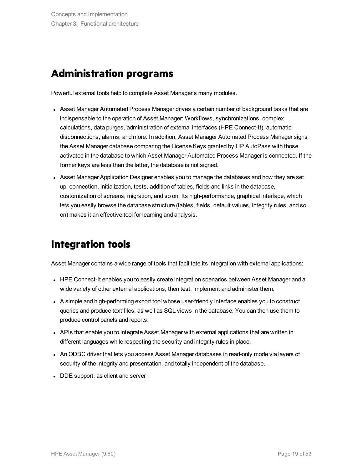### <span id="page-18-0"></span>**Administration programs**

Powerful external tools help to complete Asset Manager's many modules.

- Asset Manager Automated Process Manager drives a certain number of background tasks that are indispensable to the operation of Asset Manager: Workflows, synchronizations, complex calculations, data purges, administration of external interfaces (HPE Connect-It), automatic disconnections, alarms, and more. In addition, Asset Manager Automated Process Manager signs the Asset Manager database comparing the License Keys granted by HP AutoPass with those activated in the database to which Asset Manager Automated Process Manager is connected. If the former keys are less than the latter, the database is not signed.
- Asset Manager Application Designer enables you to manage the databases and how they are set up: connection, initialization, tests, addition of tables, fields and links in the database, customization of screens, migration, and so on. Its high-performance, graphical interface, which lets you easily browse the database structure (tables, fields, default values, integrity rules, and so on) makes it an effective tool for learning and analysis.

### <span id="page-18-1"></span>**Integration tools**

Asset Manager contains a wide range of tools that facilitate its integration with external applications:

- HPE Connect-It enables you to easily create integration scenarios between Asset Manager and a wide variety of other external applications, then test, implement and administer them.
- A simple and high-performing export tool whose user-friendly interface enables you to construct queries and produce text files, as well as SQL views in the database. You can then use them to produce control panels and reports.
- APIs that enable you to integrate Asset Manager with external applications that are written in different languages while respecting the security and integrity rules in place.
- An ODBC driver that lets you access Asset Manager databases in read-only mode via layers of security of the integrity and presentation, and totally independent of the database.
- DDE support, as client and server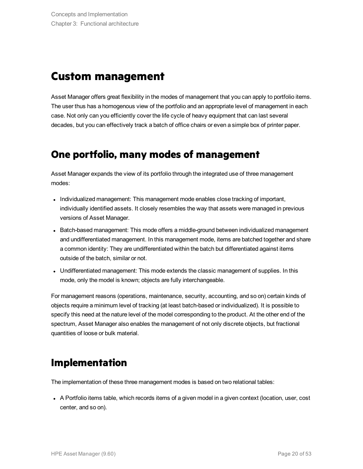## <span id="page-19-0"></span>**Custom management**

Asset Manager offers great flexibility in the modes of management that you can apply to portfolio items. The user thus has a homogenous view of the portfolio and an appropriate level of management in each case. Not only can you efficiently cover the life cycle of heavy equipment that can last several decades, but you can effectively track a batch of office chairs or even a simple box of printer paper.

### <span id="page-19-1"></span>**One portfolio, many modes of management**

Asset Manager expands the view of its portfolio through the integrated use of three management modes:

- Individualized management: This management mode enables close tracking of important, individually identified assets. It closely resembles the way that assets were managed in previous versions of Asset Manager.
- Batch-based management: This mode offers a middle-ground between individualized management and undifferentiated management. In this management mode, items are batched together and share a common identity: They are undifferentiated within the batch but differentiated against items outside of the batch, similar or not.
- Undifferentiated management: This mode extends the classic management of supplies. In this mode, only the model is known; objects are fully interchangeable.

For management reasons (operations, maintenance, security, accounting, and so on) certain kinds of objects require a minimum level of tracking (at least batch-based or individualized). It is possible to specify this need at the nature level of the model corresponding to the product. At the other end of the spectrum, Asset Manager also enables the management of not only discrete objects, but fractional quantities of loose or bulk material.

## <span id="page-19-2"></span>**Implementation**

The implementation of these three management modes is based on two relational tables:

• A Portfolio items table, which records items of a given model in a given context (location, user, cost center, and so on).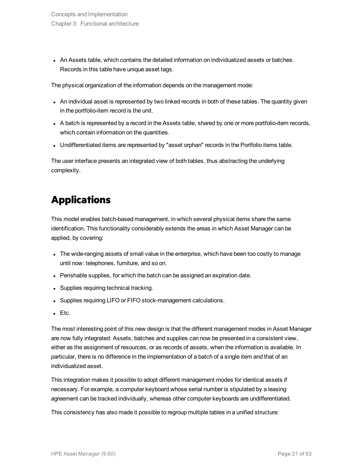• An Assets table, which contains the detailed information on individualized assets or batches. Records in this table have unique asset tags.

The physical organization of the information depends on the management mode:

- An individual asset is represented by two linked records in both of these tables. The quantity given in the portfolio-item record is the unit.
- A batch is represented by a record in the Assets table, shared by one or more portfolio-item records, which contain information on the quantities.
- Undifferentiated items are represented by "asset orphan" records in the Portfolio items table.

<span id="page-20-0"></span>The user interface presents an integrated view of both tables, thus abstracting the underlying complexity.

## **Applications**

This model enables batch-based management, in which several physical items share the same identification. This functionality considerably extends the areas in which Asset Manager can be applied, by covering:

- The wide-ranging assets of small value in the enterprise, which have been too costly to manage until now: telephones, furniture, and so on.
- Perishable supplies, for which the batch can be assigned an expiration date.
- Supplies requiring technical tracking.
- Supplies requiring LIFO or FIFO stock-management calculations.
- $\cdot$  Etc.

The most interesting point of this new design is that the different management modes in Asset Manager are now fully integrated: Assets, batches and supplies can now be presented in a consistent view, either as the assignment of resources, or as records of assets, when the information is available. In particular, there is no difference in the implementation of a batch of a single item and that of an individualized asset.

This integration makes it possible to adopt different management modes for identical assets if necessary. For example, a computer keyboard whose serial number is stipulated by a leasing agreement can be tracked individually, whereas other computer keyboards are undifferentiated.

This consistency has also made it possible to regroup multiple tables in a unified structure: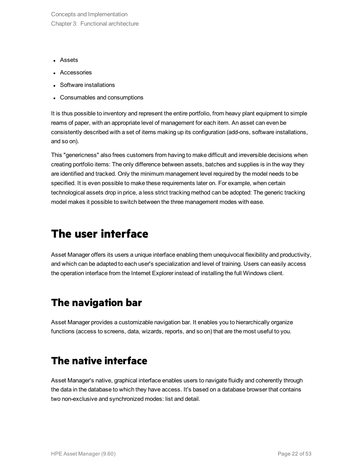Concepts and Implementation Chapter 3: Functional architecture

- Assets
- Accessories
- Software installations
- Consumables and consumptions

It is thus possible to inventory and represent the entire portfolio, from heavy plant equipment to simple reams of paper, with an appropriate level of management for each item. An asset can even be consistently described with a set of items making up its configuration (add-ons, software installations, and so on).

This "genericness" also frees customers from having to make difficult and irreversible decisions when creating portfolio items: The only difference between assets, batches and supplies is in the way they are identified and tracked. Only the minimum management level required by the model needs to be specified. It is even possible to make these requirements later on. For example, when certain technological assets drop in price, a less strict tracking method can be adopted: The generic tracking model makes it possible to switch between the three management modes with ease.

## <span id="page-21-0"></span>**The user interface**

Asset Manager offers its users a unique interface enabling them unequivocal flexibility and productivity, and which can be adapted to each user's specialization and level of training. Users can easily access the operation interface from the Internet Explorer instead of installing the full Windows client.

### <span id="page-21-1"></span>**The navigation bar**

<span id="page-21-2"></span>Asset Manager provides a customizable navigation bar. It enables you to hierarchically organize functions (access to screens, data, wizards, reports, and so on) that are the most useful to you.

### **The native interface**

Asset Manager's native, graphical interface enables users to navigate fluidly and coherently through the data in the database to which they have access. It's based on a database browser that contains two non-exclusive and synchronized modes: list and detail.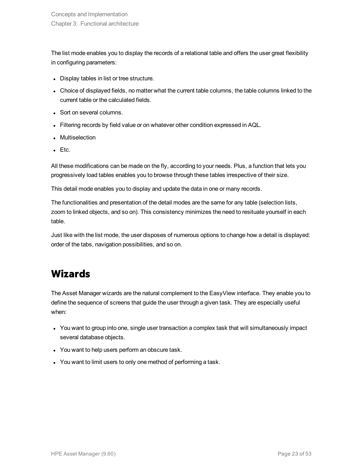The list mode enables you to display the records of a relational table and offers the user great flexibility in configuring parameters:

- Display tables in list or tree structure.
- Choice of displayed fields, no matter what the current table columns, the table columns linked to the current table or the calculated fields.
- Sort on several columns.
- Filtering records by field value or on whatever other condition expressed in AQL.
- Multiselection
- $\cdot$  Etc.

All these modifications can be made on the fly, according to your needs. Plus, a function that lets you progressively load tables enables you to browse through these tables irrespective of their size.

This detail mode enables you to display and update the data in one or many records.

The functionalities and presentation of the detail modes are the same for any table (selection lists, zoom to linked objects, and so on). This consistency minimizes the need to resituate yourself in each table.

<span id="page-22-0"></span>Just like with the list mode, the user disposes of numerous options to change how a detail is displayed: order of the tabs, navigation possibilities, and so on.

## **Wizards**

The Asset Manager wizards are the natural complement to the EasyView interface. They enable you to define the sequence of screens that guide the user through a given task. They are especially useful when:

- You want to group into one, single user transaction a complex task that will simultaneously impact several database objects.
- You want to help users perform an obscure task.
- You want to limit users to only one method of performing a task.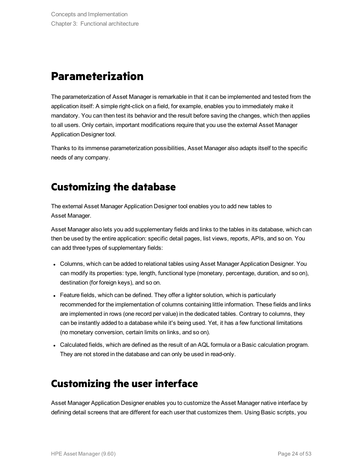## <span id="page-23-0"></span>**Parameterization**

The parameterization of Asset Manager is remarkable in that it can be implemented and tested from the application itself: A simple right-click on a field, for example, enables you to immediately make it mandatory. You can then test its behavior and the result before saving the changes, which then applies to all users. Only certain, important modifications require that you use the external Asset Manager Application Designer tool.

<span id="page-23-1"></span>Thanks to its immense parameterization possibilities, Asset Manager also adapts itself to the specific needs of any company.

## **Customizing the database**

The external Asset Manager Application Designer tool enables you to add new tables to Asset Manager.

Asset Manager also lets you add supplementary fields and links to the tables in its database, which can then be used by the entire application: specific detail pages, list views, reports, APIs, and so on. You can add three types of supplementary fields:

- Columns, which can be added to relational tables using Asset Manager Application Designer. You can modify its properties: type, length, functional type (monetary, percentage, duration, and so on), destination (for foreign keys), and so on.
- Feature fields, which can be defined. They offer a lighter solution, which is particularly recommended for the implementation of columns containing little information. These fields and links are implemented in rows (one record per value) in the dedicated tables. Contrary to columns, they can be instantly added to a database while it's being used. Yet, it has a few functional limitations (no monetary conversion, certain limits on links, and so on).
- <span id="page-23-2"></span>• Calculated fields, which are defined as the result of an AQL formula or a Basic calculation program. They are not stored in the database and can only be used in read-only.

### **Customizing the user interface**

Asset Manager Application Designer enables you to customize the Asset Manager native interface by defining detail screens that are different for each user that customizes them. Using Basic scripts, you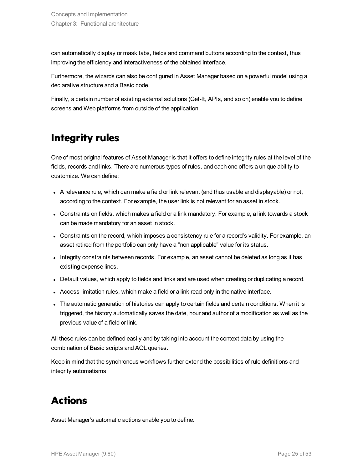can automatically display or mask tabs, fields and command buttons according to the context, thus improving the efficiency and interactiveness of the obtained interface.

Furthermore, the wizards can also be configured in Asset Manager based on a powerful model using a declarative structure and a Basic code.

<span id="page-24-0"></span>Finally, a certain number of existing external solutions (Get-It, APIs, and so on) enable you to define screens and Web platforms from outside of the application.

## **Integrity rules**

One of most original features of Asset Manager is that it offers to define integrity rules at the level of the fields, records and links. There are numerous types of rules, and each one offers a unique ability to customize. We can define:

- A relevance rule, which can make a field or link relevant (and thus usable and displayable) or not, according to the context. For example, the user link is not relevant for an asset in stock.
- Constraints on fields, which makes a field or a link mandatory. For example, a link towards a stock can be made mandatory for an asset in stock.
- Constraints on the record, which imposes a consistency rule for a record's validity. For example, an asset retired from the portfolio can only have a "non applicable" value for its status.
- Integrity constraints between records. For example, an asset cannot be deleted as long as it has existing expense lines.
- Default values, which apply to fields and links and are used when creating or duplicating a record.
- Access-limitation rules, which make a field or a link read-only in the native interface.
- The automatic generation of histories can apply to certain fields and certain conditions. When it is triggered, the history automatically saves the date, hour and author of a modification as well as the previous value of a field or link.

All these rules can be defined easily and by taking into account the context data by using the combination of Basic scripts and AQL queries.

<span id="page-24-1"></span>Keep in mind that the synchronous workflows further extend the possibilities of rule definitions and integrity automatisms.

## **Actions**

Asset Manager's automatic actions enable you to define: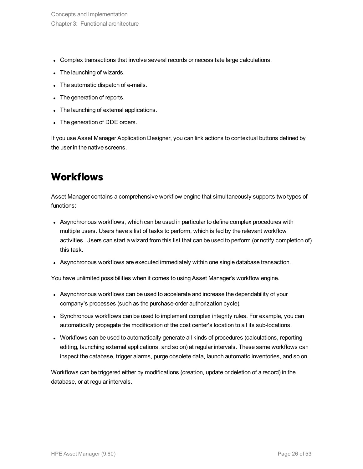- Complex transactions that involve several records or necessitate large calculations.
- The launching of wizards.
- The automatic dispatch of e-mails.
- The generation of reports.
- The launching of external applications.
- The generation of DDE orders.

<span id="page-25-0"></span>If you use Asset Manager Application Designer, you can link actions to contextual buttons defined by the user in the native screens.

## **Workflows**

Asset Manager contains a comprehensive workflow engine that simultaneously supports two types of functions:

- Asynchronous workflows, which can be used in particular to define complex procedures with multiple users. Users have a list of tasks to perform, which is fed by the relevant workflow activities. Users can start a wizard from this list that can be used to perform (or notify completion of) this task.
- Asynchronous workflows are executed immediately within one single database transaction.

You have unlimited possibilities when it comes to using Asset Manager's workflow engine.

- Asynchronous workflows can be used to accelerate and increase the dependability of your company's processes (such as the purchase-order authorization cycle).
- Synchronous workflows can be used to implement complex integrity rules. For example, you can automatically propagate the modification of the cost center's location to all its sub-locations.
- Workflows can be used to automatically generate all kinds of procedures (calculations, reporting editing, launching external applications, and so on) at regular intervals. These same workflows can inspect the database, trigger alarms, purge obsolete data, launch automatic inventories, and so on.

Workflows can be triggered either by modifications (creation, update or deletion of a record) in the database, or at regular intervals.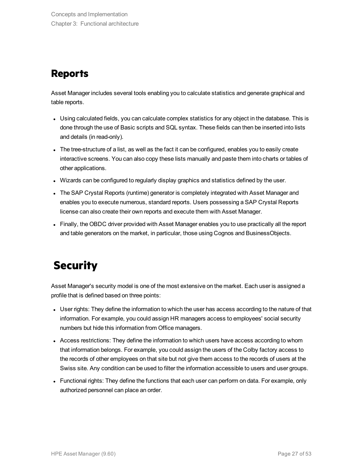## <span id="page-26-0"></span>**Reports**

Asset Manager includes several tools enabling you to calculate statistics and generate graphical and table reports.

- Using calculated fields, you can calculate complex statistics for any object in the database. This is done through the use of Basic scripts and SQL syntax. These fields can then be inserted into lists and details (in read-only).
- The tree-structure of a list, as well as the fact it can be configured, enables you to easily create interactive screens. You can also copy these lists manually and paste them into charts or tables of other applications.
- Wizards can be configured to regularly display graphics and statistics defined by the user.
- The SAP Crystal Reports (runtime) generator is completely integrated with Asset Manager and enables you to execute numerous, standard reports. Users possessing a SAP Crystal Reports license can also create their own reports and execute them with Asset Manager.
- <span id="page-26-1"></span>• Finally, the OBDC driver provided with Asset Manager enables you to use practically all the report and table generators on the market, in particular, those using Cognos and BusinessObjects.

## **Security**

Asset Manager's security model is one of the most extensive on the market. Each user is assigned a profile that is defined based on three points:

- User rights: They define the information to which the user has access according to the nature of that information. For example, you could assign HR managers access to employees' social security numbers but hide this information from Office managers.
- Access restrictions: They define the information to which users have access according to whom that information belongs. For example, you could assign the users of the Colby factory access to the records of other employees on that site but not give them access to the records of users at the Swiss site. Any condition can be used to filter the information accessible to users and user groups.
- Functional rights: They define the functions that each user can perform on data. For example, only authorized personnel can place an order.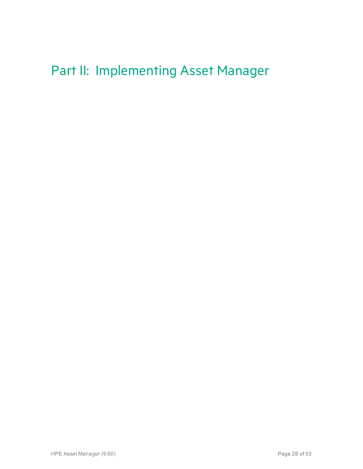## <span id="page-27-0"></span>Part II: Implementing Asset Manager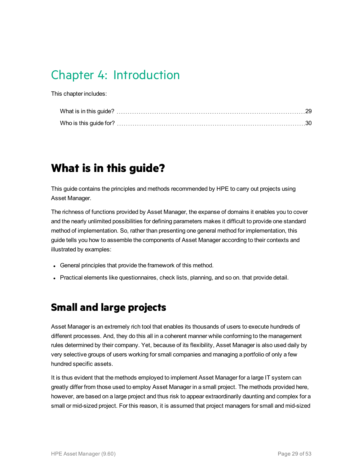## <span id="page-28-0"></span>Chapter 4: Introduction

This chapter includes:

## <span id="page-28-1"></span>**What is in this guide?**

This guide contains the principles and methods recommended by HPE to carry out projects using Asset Manager.

The richness of functions provided by Asset Manager, the expanse of domains it enables you to cover and the nearly unlimited possibilities for defining parameters makes it difficult to provide one standard method of implementation. So, rather than presenting one general method for implementation, this guide tells you how to assemble the components of Asset Manager according to their contexts and illustrated by examples:

- General principles that provide the framework of this method.
- <span id="page-28-2"></span>• Practical elements like questionnaires, check lists, planning, and so on. that provide detail.

### **Small and large projects**

Asset Manager is an extremely rich tool that enables its thousands of users to execute hundreds of different processes. And, they do this all in a coherent manner while conforming to the management rules determined by their company. Yet, because of its flexibility, Asset Manager is also used daily by very selective groups of users working for small companies and managing a portfolio of only a few hundred specific assets.

It is thus evident that the methods employed to implement Asset Manager for a large IT system can greatly differ from those used to employ Asset Manager in a small project. The methods provided here, however, are based on a large project and thus risk to appear extraordinarily daunting and complex for a small or mid-sized project. For this reason, it is assumed that project managers for small and mid-sized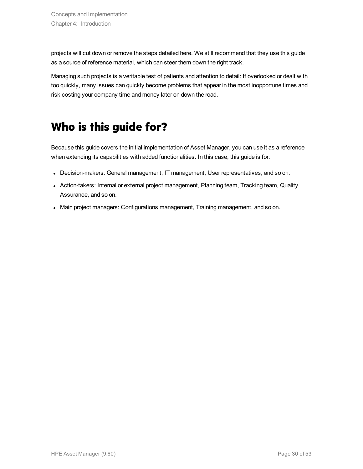projects will cut down or remove the steps detailed here. We still recommend that they use this guide as a source of reference material, which can steer them down the right track.

Managing such projects is a veritable test of patients and attention to detail: If overlooked or dealt with too quickly, many issues can quickly become problems that appear in the most inopportune times and risk costing your company time and money later on down the road.

## <span id="page-29-0"></span>**Who is this guide for?**

Because this guide covers the initial implementation of Asset Manager, you can use it as a reference when extending its capabilities with added functionalities. In this case, this guide is for:

- Decision-makers: General management, IT management, User representatives, and so on.
- Action-takers: Internal or external project management, Planning team, Tracking team, Quality Assurance, and so on.
- <sup>l</sup> Main project managers: Configurations management, Training management, and so on.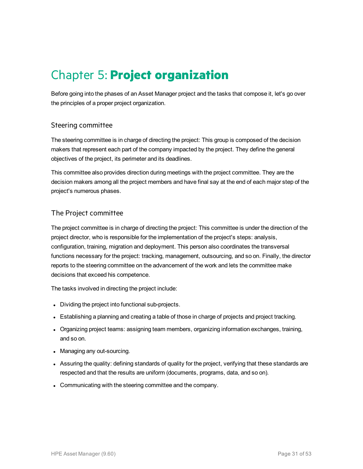## <span id="page-30-0"></span>Chapter 5: **Project organization**

Before going into the phases of an Asset Manager project and the tasks that compose it, let's go over the principles of a proper project organization.

### Steering committee

The steering committee is in charge of directing the project: This group is composed of the decision makers that represent each part of the company impacted by the project. They define the general objectives of the project, its perimeter and its deadlines.

This committee also provides direction during meetings with the project committee. They are the decision makers among all the project members and have final say at the end of each major step of the project's numerous phases.

### The Project committee

The project committee is in charge of directing the project: This committee is under the direction of the project director, who is responsible for the implementation of the project's steps: analysis, configuration, training, migration and deployment. This person also coordinates the transversal functions necessary for the project: tracking, management, outsourcing, and so on. Finally, the director reports to the steering committee on the advancement of the work and lets the committee make decisions that exceed his competence.

The tasks involved in directing the project include:

- Dividing the project into functional sub-projects.
- Establishing a planning and creating a table of those in charge of projects and project tracking.
- Organizing project teams: assigning team members, organizing information exchanges, training, and so on.
- Managing any out-sourcing.
- Assuring the quality: defining standards of quality for the project, verifying that these standards are respected and that the results are uniform (documents, programs, data, and so on).
- Communicating with the steering committee and the company.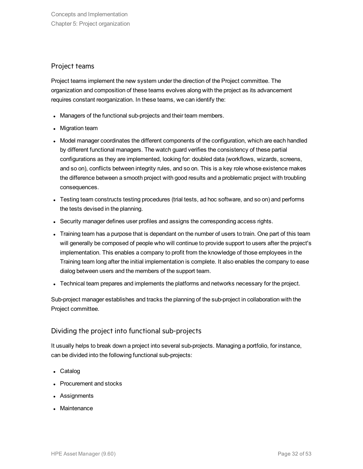### Project teams

Project teams implement the new system under the direction of the Project committee. The organization and composition of these teams evolves along with the project as its advancement requires constant reorganization. In these teams, we can identify the:

- Managers of the functional sub-projects and their team members.
- Migration team
- Model manager coordinates the different components of the configuration, which are each handled by different functional managers. The watch guard verifies the consistency of these partial configurations as they are implemented, looking for: doubled data (workflows, wizards, screens, and so on), conflicts between integrity rules, and so on. This is a key role whose existence makes the difference between a smooth project with good results and a problematic project with troubling consequences.
- Testing team constructs testing procedures (trial tests, ad hoc software, and so on) and performs the tests devised in the planning.
- Security manager defines user profiles and assigns the corresponding access rights.
- Training team has a purpose that is dependant on the number of users to train. One part of this team will generally be composed of people who will continue to provide support to users after the project's implementation. This enables a company to profit from the knowledge of those employees in the Training team long after the initial implementation is complete. It also enables the company to ease dialog between users and the members of the support team.
- Technical team prepares and implements the platforms and networks necessary for the project.

Sub-project manager establishes and tracks the planning of the sub-project in collaboration with the Project committee.

### Dividing the project into functional sub-projects

It usually helps to break down a project into several sub-projects. Managing a portfolio, for instance, can be divided into the following functional sub-projects:

- Catalog
- Procurement and stocks
- Assignments
- Maintenance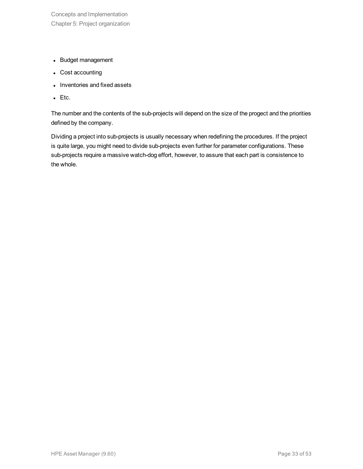- Budget management
- Cost accounting
- Inventories and fixed assets
- $\cdot$  Etc.

The number and the contents of the sub-projects will depend on the size of the progect and the priorities defined by the company.

Dividing a project into sub-projects is usually necessary when redefining the procedures. If the project is quite large, you might need to divide sub-projects even further for parameter configurations. These sub-projects require a massive watch-dog effort, however, to assure that each part is consistence to the whole.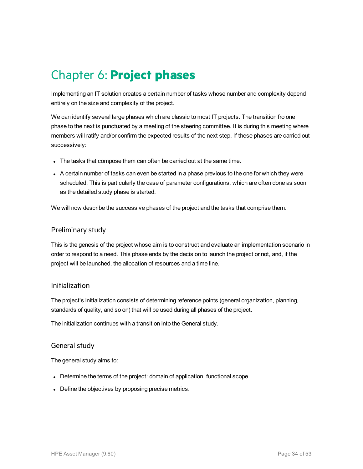## <span id="page-33-0"></span>Chapter 6: **Project phases**

Implementing an IT solution creates a certain number of tasks whose number and complexity depend entirely on the size and complexity of the project.

We can identify several large phases which are classic to most IT projects. The transition fro one phase to the next is punctuated by a meeting of the steering committee. It is during this meeting where members will ratify and/or confirm the expected results of the next step. If these phases are carried out successively:

- The tasks that compose them can often be carried out at the same time.
- A certain number of tasks can even be started in a phase previous to the one for which they were scheduled. This is particularly the case of parameter configurations, which are often done as soon as the detailed study phase is started.

We will now describe the successive phases of the project and the tasks that comprise them.

#### Preliminary study

This is the genesis of the project whose aim is to construct and evaluate an implementation scenario in order to respond to a need. This phase ends by the decision to launch the project or not, and, if the project will be launched, the allocation of resources and a time line.

#### Initialization

The project's initialization consists of determining reference points (general organization, planning, standards of quality, and so on) that will be used during all phases of the project.

The initialization continues with a transition into the General study.

### General study

The general study aims to:

- Determine the terms of the project: domain of application, functional scope.
- Define the objectives by proposing precise metrics.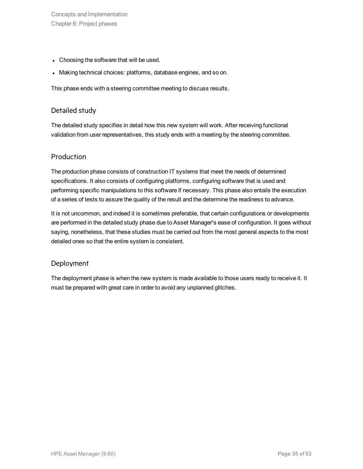Concepts and Implementation Chapter 6: Project phases

- Choosing the software that will be used.
- Making technical choices: platforms, database engines, and so on.

This phase ends with a steering committee meeting to discuss results.

### Detailed study

The detailed study specifies in detail how this new system will work. After receiving functional validation from user representatives, this study ends with a meeting by the steering committee.

### Production

The production phase consists of construction IT systems that meet the needs of determined specifications. It also consists of configuring platforms, configuring software that is used and performing specific manipulations to this software if necessary. This phase also entails the execution of a series of tests to assure the quality of the result and the determine the readiness to advance.

It is not uncommon, and indeed it is sometimes preferable, that certain configurations or developments are performed in the detailed study phase due to Asset Manager's ease of configuration. It goes without saying, nonetheless, that these studies must be carried out from the most general aspects to the most detailed ones so that the entire system is consistent.

### Deployment

The deployment phase is when the new system is made available to those users ready to receive it. It must be prepared with great care in order to avoid any unplanned glitches.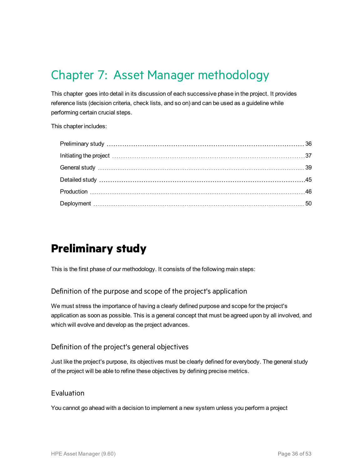## <span id="page-35-0"></span>Chapter 7: Asset Manager methodology

This chapter goes into detail in its discussion of each successive phase in the project. It provides reference lists (decision criteria, check lists, and so on) and can be used as a guideline while performing certain crucial steps.

This chapter includes:

## <span id="page-35-1"></span>**Preliminary study**

This is the first phase of our methodology. It consists of the following main steps:

Definition of the purpose and scope of the project's application

We must stress the importance of having a clearly defined purpose and scope for the project's application as soon as possible. This is a general concept that must be agreed upon by all involved, and which will evolve and develop as the project advances.

### Definition of the project's general objectives

Just like the project's purpose, its objectives must be clearly defined for everybody. The general study of the project will be able to refine these objectives by defining precise metrics.

### Evaluation

You cannot go ahead with a decision to implement a new system unless you perform a project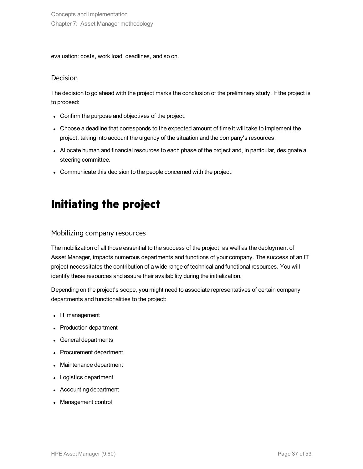evaluation: costs, work load, deadlines, and so on.

### Decision

The decision to go ahead with the project marks the conclusion of the preliminary study. If the project is to proceed:

- Confirm the purpose and objectives of the project.
- Choose a deadline that corresponds to the expected amount of time it will take to implement the project, taking into account the urgency of the situation and the company's resources.
- Allocate human and financial resources to each phase of the project and, in particular, designate a steering committee.
- <span id="page-36-0"></span>• Communicate this decision to the people concerned with the project.

## **Initiating the project**

### Mobilizing company resources

The mobilization of all those essential to the success of the project, as well as the deployment of Asset Manager, impacts numerous departments and functions of your company. The success of an IT project necessitates the contribution of a wide range of technical and functional resources. You will identify these resources and assure their availability during the initialization.

Depending on the project's scope, you might need to associate representatives of certain company departments and functionalities to the project:

- IT management
- Production department
- General departments
- Procurement department
- Maintenance department
- Logistics department
- Accounting department
- Management control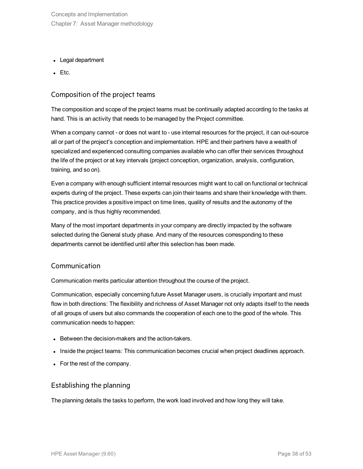Concepts and Implementation Chapter 7: Asset Manager methodology

- Legal department
- $\cdot$  Etc.

### Composition of the project teams

The composition and scope of the project teams must be continually adapted according to the tasks at hand. This is an activity that needs to be managed by the Project committee.

When a company cannot - or does not want to - use internal resources for the project, it can out-source all or part of the project's conception and implementation. HPE and their partners have a wealth of specialized and experienced consulting companies available who can offer their services throughout the life of the project or at key intervals (project conception, organization, analysis, configuration, training, and so on).

Even a company with enough sufficient internal resources might want to call on functional or technical experts during of the project. These experts can join their teams and share their knowledge with them. This practice provides a positive impact on time lines, quality of results and the autonomy of the company, and is thus highly recommended.

Many of the most important departments in your company are directly impacted by the software selected during the General study phase. And many of the resources corresponding to these departments cannot be identified until after this selection has been made.

#### Communication

Communication merits particular attention throughout the course of the project.

Communication, especially concerning future Asset Manager users, is crucially important and must flow in both directions: The flexibility and richness of Asset Manager not only adapts itself to the needs of all groups of users but also commands the cooperation of each one to the good of the whole. This communication needs to happen:

- Between the decision-makers and the action-takers.
- . Inside the project teams: This communication becomes crucial when project deadlines approach.
- For the rest of the company.

### Establishing the planning

The planning details the tasks to perform, the work load involved and how long they will take.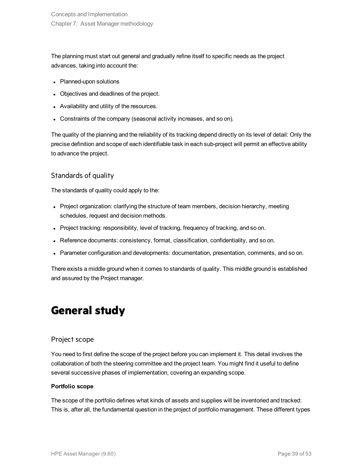The planning must start out general and gradually refine itself to specific needs as the project advances, taking into account the:

- Planned-upon solutions
- Objectives and deadlines of the project.
- Availability and utility of the resources.
- Constraints of the company (seasonal activity increases, and so on).

The quality of the planning and the reliability of its tracking depend directly on its level of detail: Only the precise definition and scope of each identifiable task in each sub-project will permit an effective ability to advance the project.

### Standards of quality

The standards of quality could apply to the:

- Project organization: clarifying the structure of team members, decision hierarchy, meeting schedules, request and decision methods.
- Project tracking: responsibility, level of tracking, frequency of tracking, and so on.
- Reference documents: consistency, format, classification, confidentiality, and so on.
- Parameter configuration and developments: documentation, presentation, comments, and so on.

<span id="page-38-0"></span>There exists a middle ground when it comes to standards of quality. This middle ground is established and assured by the Project manager.

## **General study**

### Project scope

You need to first define the scope of the project before you can implement it. This detail involves the collaboration of both the steering committee and the project team. You might find it useful to define several successive phases of implementation, covering an expanding scope.

#### **Portfolio scope**

The scope of the portfolio defines what kinds of assets and supplies will be inventoried and tracked: This is, after all, the fundamental question in the project of portfolio management. These different types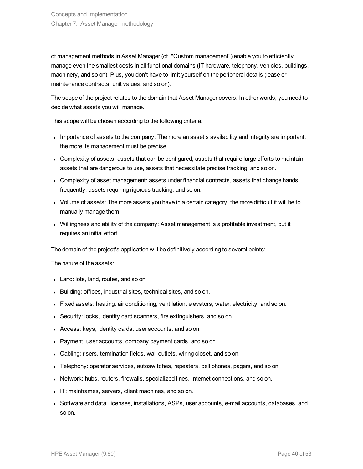of management methods in Asset Manager (cf. "Custom management") enable you to efficiently manage even the smallest costs in all functional domains (IT hardware, telephony, vehicles, buildings, machinery, and so on). Plus, you don't have to limit yourself on the peripheral details (lease or maintenance contracts, unit values, and so on).

The scope of the project relates to the domain that Asset Manager covers. In other words, you need to decide what assets you will manage.

This scope will be chosen according to the following criteria:

- Importance of assets to the company: The more an asset's availability and integrity are important, the more its management must be precise.
- Complexity of assets: assets that can be configured, assets that require large efforts to maintain, assets that are dangerous to use, assets that necessitate precise tracking, and so on.
- Complexity of asset management: assets under financial contracts, assets that change hands frequently, assets requiring rigorous tracking, and so on.
- Volume of assets: The more assets you have in a certain category, the more difficult it will be to manually manage them.
- Willingness and ability of the company: Asset management is a profitable investment, but it requires an initial effort.

The domain of the project's application will be definitively according to several points:

The nature of the assets:

- Land: lots, land, routes, and so on.
- Building: offices, industrial sites, technical sites, and so on.
- Fixed assets: heating, air conditioning, ventilation, elevators, water, electricity, and so on.
- Security: locks, identity card scanners, fire extinguishers, and so on.
- Access: keys, identity cards, user accounts, and so on.
- Payment: user accounts, company payment cards, and so on.
- Cabling: risers, termination fields, wall outlets, wiring closet, and so on.
- Telephony: operator services, autoswitches, repeaters, cell phones, pagers, and so on.
- Network: hubs, routers, firewalls, specialized lines, Internet connections, and so on.
- IT: mainframes, servers, client machines, and so on.
- Software and data: licenses, installations, ASPs, user accounts, e-mail accounts, databases, and so on.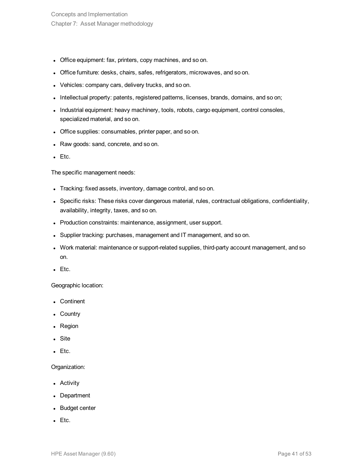- Office equipment: fax, printers, copy machines, and so on.
- Office furniture: desks, chairs, safes, refrigerators, microwaves, and so on.
- Vehicles: company cars, delivery trucks, and so on.
- Intellectual property: patents, registered patterns, licenses, brands, domains, and so on;
- Industrial equipment: heavy machinery, tools, robots, cargo equipment, control consoles, specialized material, and so on.
- Office supplies: consumables, printer paper, and so on.
- Raw goods: sand, concrete, and so on.
- $\bullet$  Etc.

The specific management needs:

- Tracking: fixed assets, inventory, damage control, and so on.
- Specific risks: These risks cover dangerous material, rules, contractual obligations, confidentiality, availability, integrity, taxes, and so on.
- Production constraints: maintenance, assignment, user support.
- Supplier tracking: purchases, management and IT management, and so on.
- Work material: maintenance or support-related supplies, third-party account management, and so on.
- $\bullet$  Etc.

Geographic location:

- Continent
- Country
- Region
- Site
- $\bullet$  Etc.

#### Organization:

- Activity
- Department
- Budget center
- $\bullet$  Etc.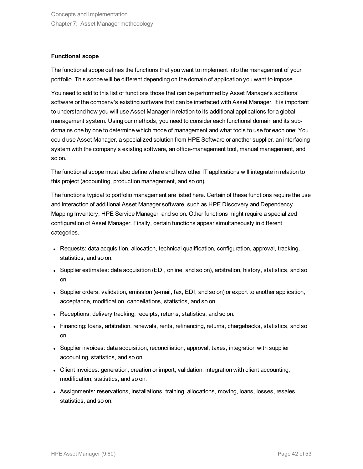#### **Functional scope**

The functional scope defines the functions that you want to implement into the management of your portfolio. This scope will be different depending on the domain of application you want to impose.

You need to add to this list of functions those that can be performed by Asset Manager's additional software or the company's existing software that can be interfaced with Asset Manager. It is important to understand how you will use Asset Manager in relation to its additional applications for a global management system. Using our methods, you need to consider each functional domain and its subdomains one by one to determine which mode of management and what tools to use for each one: You could use Asset Manager, a specialized solution from HPE Software or another supplier, an interfacing system with the company's existing software, an office-management tool, manual management, and so on.

The functional scope must also define where and how other IT applications will integrate in relation to this project (accounting, production management, and so on).

The functions typical to portfolio management are listed here. Certain of these functions require the use and interaction of additional Asset Manager software, such as HPE Discovery and Dependency Mapping Inventory, HPE Service Manager, and so on. Other functions might require a specialized configuration of Asset Manager. Finally, certain functions appear simultaneously in different categories.

- Requests: data acquisition, allocation, technical qualification, configuration, approval, tracking, statistics, and so on.
- Supplier estimates: data acquisition (EDI, online, and so on), arbitration, history, statistics, and so on.
- Supplier orders: validation, emission (e-mail, fax, EDI, and so on) or export to another application, acceptance, modification, cancellations, statistics, and so on.
- Receptions: delivery tracking, receipts, returns, statistics, and so on.
- Financing: loans, arbitration, renewals, rents, refinancing, returns, chargebacks, statistics, and so on.
- Supplier invoices: data acquisition, reconciliation, approval, taxes, integration with supplier accounting, statistics, and so on.
- Client invoices: generation, creation or import, validation, integration with client accounting, modification, statistics, and so on.
- Assignments: reservations, installations, training, allocations, moving, loans, losses, resales, statistics, and so on.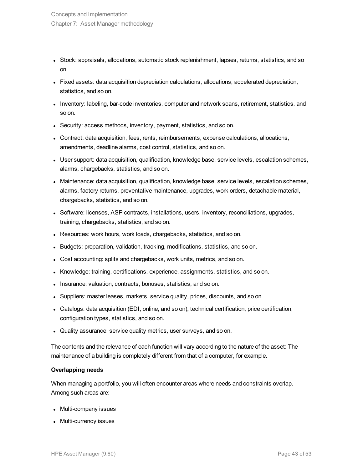- Stock: appraisals, allocations, automatic stock replenishment, lapses, returns, statistics, and so on.
- Fixed assets: data acquisition depreciation calculations, allocations, accelerated depreciation, statistics, and so on.
- Inventory: labeling, bar-code inventories, computer and network scans, retirement, statistics, and so on.
- Security: access methods, inventory, payment, statistics, and so on.
- Contract: data acquisition, fees, rents, reimbursements, expense calculations, allocations, amendments, deadline alarms, cost control, statistics, and so on.
- User support: data acquisition, qualification, knowledge base, service levels, escalation schemes, alarms, chargebacks, statistics, and so on.
- Maintenance: data acquisition, qualification, knowledge base, service levels, escalation schemes, alarms, factory returns, preventative maintenance, upgrades, work orders, detachable material, chargebacks, statistics, and so on.
- Software: licenses, ASP contracts, installations, users, inventory, reconciliations, upgrades, training, chargebacks, statistics, and so on.
- Resources: work hours, work loads, chargebacks, statistics, and so on.
- Budgets: preparation, validation, tracking, modifications, statistics, and so on.
- Cost accounting: splits and chargebacks, work units, metrics, and so on.
- Knowledge: training, certifications, experience, assignments, statistics, and so on.
- Insurance: valuation, contracts, bonuses, statistics, and so on.
- Suppliers: master leases, markets, service quality, prices, discounts, and so on.
- Catalogs: data acquisition (EDI, online, and so on), technical certification, price certification, configuration types, statistics, and so on.
- Quality assurance: service quality metrics, user surveys, and so on.

The contents and the relevance of each function will vary according to the nature of the asset: The maintenance of a building is completely different from that of a computer, for example.

#### **Overlapping needs**

When managing a portfolio, you will often encounter areas where needs and constraints overlap. Among such areas are:

- Multi-company issues
- Multi-currency issues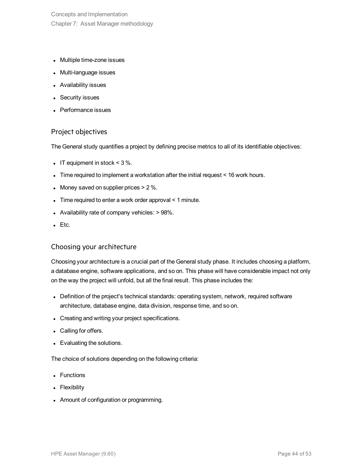Concepts and Implementation Chapter 7: Asset Manager methodology

- Multiple time-zone issues
- Multi-language issues
- Availability issues
- Security issues
- Performance issues

### Project objectives

The General study quantifies a project by defining precise metrics to all of its identifiable objectives:

- IT equipment in stock  $<$  3 %.
- Time required to implement a workstation after the initial request  $<$  16 work hours.
- Money saved on supplier prices  $> 2\%$ .
- Time required to enter a work order approval  $\leq 1$  minute.
- Availability rate of company vehicles:  $> 98\%$ .
- $\bullet$  Etc.

#### Choosing your architecture

Choosing your architecture is a crucial part of the General study phase. It includes choosing a platform, a database engine, software applications, and so on. This phase will have considerable impact not only on the way the project will unfold, but all the final result. This phase includes the:

- Definition of the project's technical standards: operating system, network, required software architecture, database engine, data division, response time, and so on.
- Creating and writing your project specifications.
- Calling for offers.
- Evaluating the solutions.

The choice of solutions depending on the following criteria:

- Functions
- Flexibility
- Amount of configuration or programming.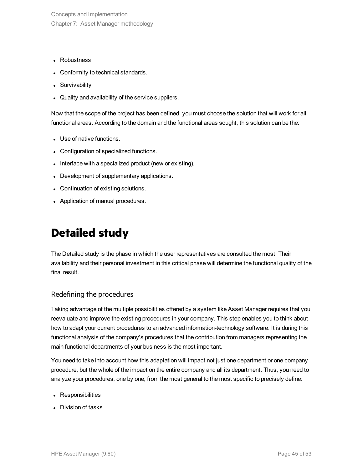Concepts and Implementation Chapter 7: Asset Manager methodology

- Robustness
- Conformity to technical standards.
- Survivability
- Quality and availability of the service suppliers.

Now that the scope of the project has been defined, you must choose the solution that will work for all functional areas. According to the domain and the functional areas sought, this solution can be the:

- Use of native functions.
- Configuration of specialized functions.
- Interface with a specialized product (new or existing).
- Development of supplementary applications.
- Continuation of existing solutions.
- <span id="page-44-0"></span>• Application of manual procedures.

## **Detailed study**

The Detailed study is the phase in which the user representatives are consulted the most. Their availability and their personal investment in this critical phase will determine the functional quality of the final result.

### Redefining the procedures

Taking advantage of the multiple possibilities offered by a system like Asset Manager requires that you reevaluate and improve the existing procedures in your company. This step enables you to think about how to adapt your current procedures to an advanced information-technology software. It is during this functional analysis of the company's procedures that the contribution from managers representing the main functional departments of your business is the most important.

You need to take into account how this adaptation will impact not just one department or one company procedure, but the whole of the impact on the entire company and all its department. Thus, you need to analyze your procedures, one by one, from the most general to the most specific to precisely define:

- Responsibilities
- Division of tasks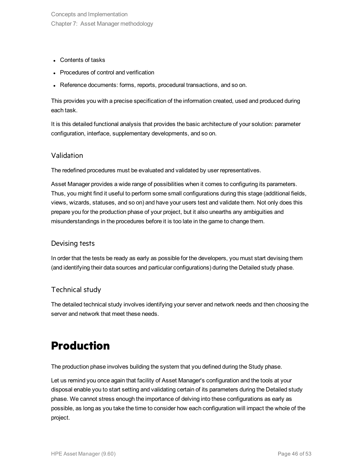- Contents of tasks
- Procedures of control and verification
- Reference documents: forms, reports, procedural transactions, and so on.

This provides you with a precise specification of the information created, used and produced during each task.

It is this detailed functional analysis that provides the basic architecture of your solution: parameter configuration, interface, supplementary developments, and so on.

### Validation

The redefined procedures must be evaluated and validated by user representatives.

Asset Manager provides a wide range of possibilities when it comes to configuring its parameters. Thus, you might find it useful to perform some small configurations during this stage (additional fields, views, wizards, statuses, and so on) and have your users test and validate them. Not only does this prepare you for the production phase of your project, but it also unearths any ambiguities and misunderstandings in the procedures before it is too late in the game to change them.

### Devising tests

In order that the tests be ready as early as possible for the developers, you must start devising them (and identifying their data sources and particular configurations) during the Detailed study phase.

### Technical study

<span id="page-45-0"></span>The detailed technical study involves identifying your server and network needs and then choosing the server and network that meet these needs.

## **Production**

The production phase involves building the system that you defined during the Study phase.

Let us remind you once again that facility of Asset Manager's configuration and the tools at your disposal enable you to start setting and validating certain of its parameters during the Detailed study phase. We cannot stress enough the importance of delving into these configurations as early as possible, as long as you take the time to consider how each configuration will impact the whole of the project.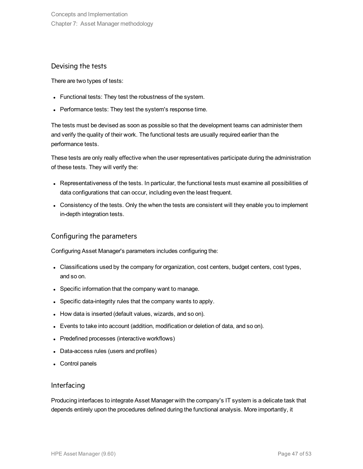### Devising the tests

There are two types of tests:

- Functional tests: They test the robustness of the system.
- Performance tests: They test the system's response time.

The tests must be devised as soon as possible so that the development teams can administer them and verify the quality of their work. The functional tests are usually required earlier than the performance tests.

These tests are only really effective when the user representatives participate during the administration of these tests. They will verify the:

- Representativeness of the tests. In particular, the functional tests must examine all possibilities of data configurations that can occur, including even the least frequent.
- Consistency of the tests. Only the when the tests are consistent will they enable you to implement in-depth integration tests.

### Configuring the parameters

Configuring Asset Manager's parameters includes configuring the:

- Classifications used by the company for organization, cost centers, budget centers, cost types, and so on.
- Specific information that the company want to manage.
- Specific data-integrity rules that the company wants to apply.
- How data is inserted (default values, wizards, and so on).
- Events to take into account (addition, modification or deletion of data, and so on).
- Predefined processes (interactive workflows)
- Data-access rules (users and profiles)
- Control panels

### Interfacing

Producing interfaces to integrate Asset Manager with the company's IT system is a delicate task that depends entirely upon the procedures defined during the functional analysis. More importantly, it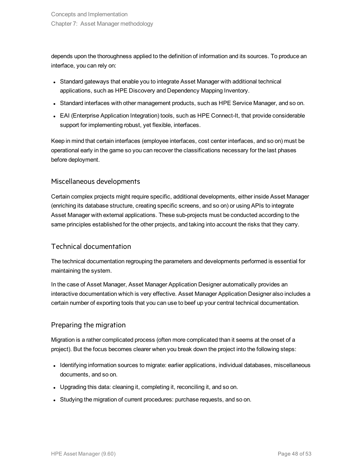depends upon the thoroughness applied to the definition of information and its sources. To produce an interface, you can rely on:

- Standard gateways that enable you to integrate Asset Manager with additional technical applications, such as HPE Discovery and Dependency Mapping Inventory.
- Standard interfaces with other management products, such as HPE Service Manager, and so on.
- EAI (Enterprise Application Integration) tools, such as HPE Connect-It, that provide considerable support for implementing robust, yet flexible, interfaces.

Keep in mind that certain interfaces (employee interfaces, cost center interfaces, and so on) must be operational early in the game so you can recover the classifications necessary for the last phases before deployment.

### Miscellaneous developments

Certain complex projects might require specific, additional developments, either inside Asset Manager (enriching its database structure, creating specific screens, and so on) or using APIs to integrate Asset Manager with external applications. These sub-projects must be conducted according to the same principles established for the other projects, and taking into account the risks that they carry.

### Technical documentation

The technical documentation regrouping the parameters and developments performed is essential for maintaining the system.

In the case of Asset Manager, Asset Manager Application Designer automatically provides an interactive documentation which is very effective. Asset Manager Application Designer also includes a certain number of exporting tools that you can use to beef up your central technical documentation.

### Preparing the migration

Migration is a rather complicated process (often more complicated than it seems at the onset of a project). But the focus becomes clearer when you break down the project into the following steps:

- Identifying information sources to migrate: earlier applications, individual databases, miscellaneous documents, and so on.
- Upgrading this data: cleaning it, completing it, reconciling it, and so on.
- Studying the migration of current procedures: purchase requests, and so on.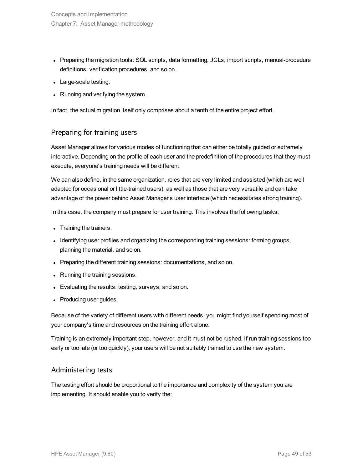- Preparing the migration tools: SQL scripts, data formatting, JCLs, import scripts, manual-procedure definitions, verification procedures, and so on.
- Large-scale testing.
- Running and verifying the system.

In fact, the actual migration itself only comprises about a tenth of the entire project effort.

### Preparing for training users

Asset Manager allows for various modes of functioning that can either be totally guided or extremely interactive. Depending on the profile of each user and the predefinition of the procedures that they must execute, everyone's training needs will be different.

We can also define, in the same organization, roles that are very limited and assisted (which are well adapted for occasional or little-trained users), as well as those that are very versatile and can take advantage of the power behind Asset Manager's user interface (which necessitates strong training).

In this case, the company must prepare for user training. This involves the following tasks:

- Training the trainers.
- Identifying user profiles and organizing the corresponding training sessions: forming groups, planning the material, and so on.
- Preparing the different training sessions: documentations, and so on.
- Running the training sessions.
- Evaluating the results: testing, surveys, and so on.
- Producing user guides.

Because of the variety of different users with different needs, you might find yourself spending most of your company's time and resources on the training effort alone.

Training is an extremely important step, however, and it must not be rushed. If run training sessions too early or too late (or too quickly), your users will be not suitably trained to use the new system.

### Administering tests

The testing effort should be proportional to the importance and complexity of the system you are implementing. It should enable you to verify the: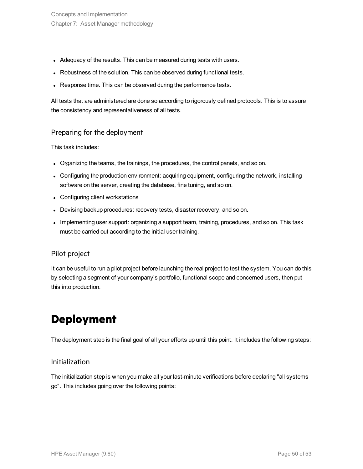- Adequacy of the results. This can be measured during tests with users.
- Robustness of the solution. This can be observed during functional tests.
- Response time. This can be observed during the performance tests.

All tests that are administered are done so according to rigorously defined protocols. This is to assure the consistency and representativeness of all tests.

### Preparing for the deployment

This task includes:

- Organizing the teams, the trainings, the procedures, the control panels, and so on.
- Configuring the production environment: acquiring equipment, configuring the network, installing software on the server, creating the database, fine tuning, and so on.
- Configuring client workstations
- Devising backup procedures: recovery tests, disaster recovery, and so on.
- Implementing user support: organizing a support team, training, procedures, and so on. This task must be carried out according to the initial user training.

### Pilot project

It can be useful to run a pilot project before launching the real project to test the system. You can do this by selecting a segment of your company's portfolio, functional scope and concerned users, then put this into production.

## <span id="page-49-0"></span>**Deployment**

The deployment step is the final goal of all your efforts up until this point. It includes the following steps:

#### Initialization

The initialization step is when you make all your last-minute verifications before declaring "all systems go". This includes going over the following points: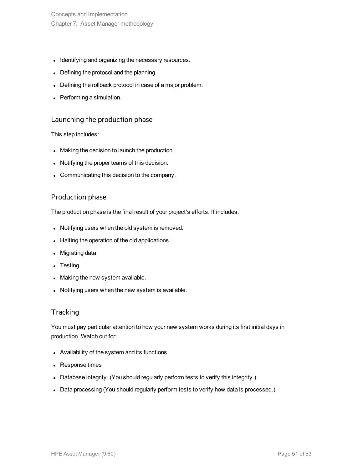Concepts and Implementation Chapter 7: Asset Manager methodology

- Identifying and organizing the necessary resources.
- Defining the protocol and the planning.
- Defining the rollback protocol in case of a major problem.
- Performing a simulation.

### Launching the production phase

This step includes:

- Making the decision to launch the production.
- Notifying the proper teams of this decision.
- Communicating this decision to the company.

### Production phase

The production phase is the final result of your project's efforts. It includes:

- Notifying users when the old system is removed.
- Halting the operation of the old applications.
- Migrating data
- $\bullet$  Testing
- Making the new system available.
- Notifying users when the new system is available.

### **Tracking**

You must pay particular attention to how your new system works during its first initial days in production. Watch out for:

- Availability of the system and its functions.
- Response times
- Database integrity. (You should regularly perform tests to verify this integrity.)
- Data processing (You should regularly perform tests to verify how data is processed.)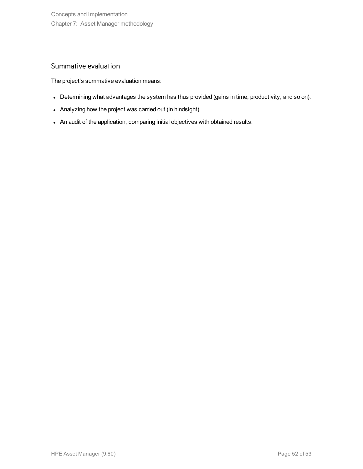### Summative evaluation

The project's summative evaluation means:

- Determining what advantages the system has thus provided (gains in time, productivity, and so on).
- Analyzing how the project was carried out (in hindsight).
- An audit of the application, comparing initial objectives with obtained results.